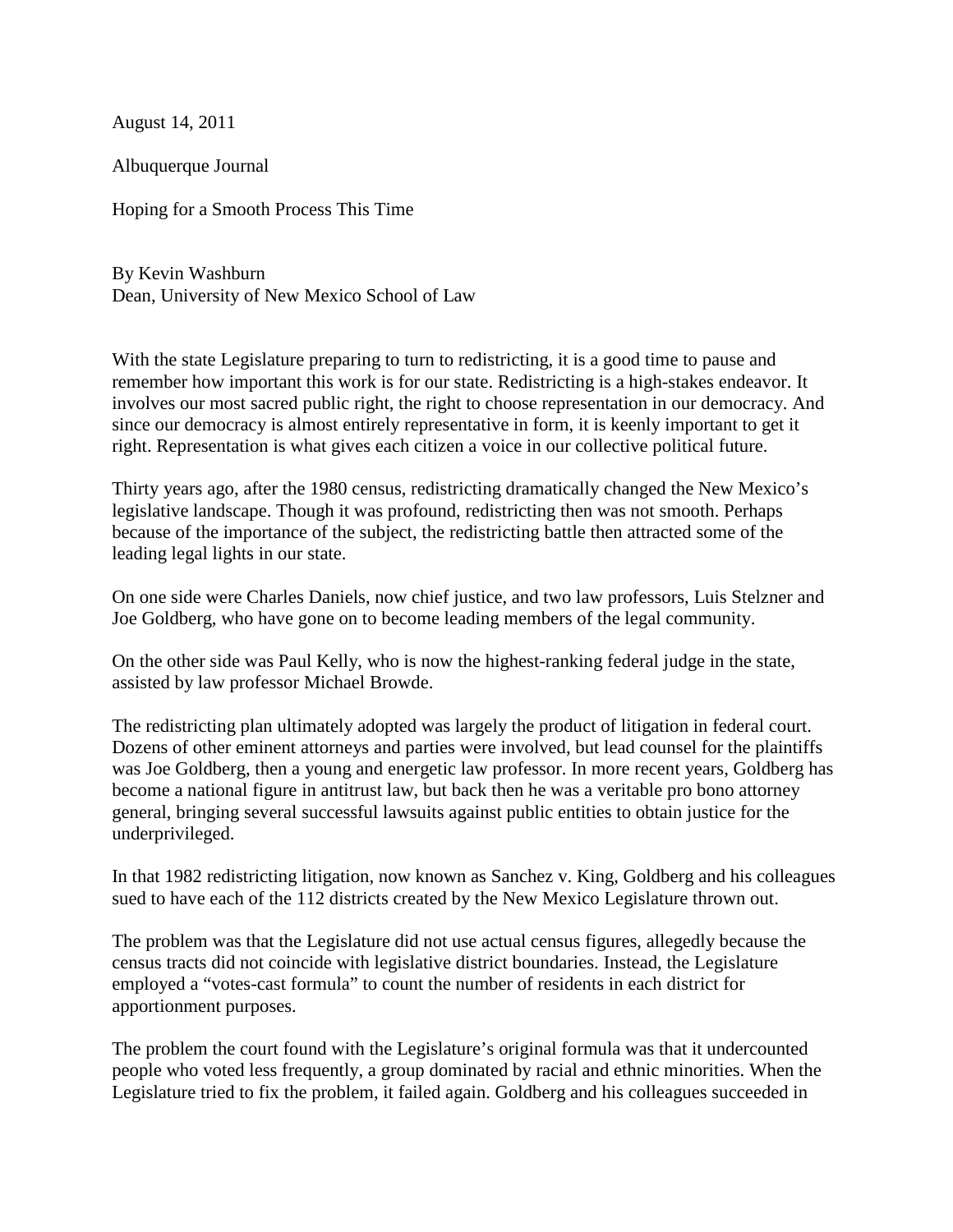August 14, 2011

Albuquerque Journal

Hoping for a Smooth Process This Time

By Kevin Washburn Dean, University of New Mexico School of Law

With the state Legislature preparing to turn to redistricting, it is a good time to pause and remember how important this work is for our state. Redistricting is a high-stakes endeavor. It involves our most sacred public right, the right to choose representation in our democracy. And since our democracy is almost entirely representative in form, it is keenly important to get it right. Representation is what gives each citizen a voice in our collective political future.

Thirty years ago, after the 1980 census, redistricting dramatically changed the New Mexico's legislative landscape. Though it was profound, redistricting then was not smooth. Perhaps because of the importance of the subject, the redistricting battle then attracted some of the leading legal lights in our state.

On one side were Charles Daniels, now chief justice, and two law professors, Luis Stelzner and Joe Goldberg, who have gone on to become leading members of the legal community.

On the other side was Paul Kelly, who is now the highest-ranking federal judge in the state, assisted by law professor Michael Browde.

The redistricting plan ultimately adopted was largely the product of litigation in federal court. Dozens of other eminent attorneys and parties were involved, but lead counsel for the plaintiffs was Joe Goldberg, then a young and energetic law professor. In more recent years, Goldberg has become a national figure in antitrust law, but back then he was a veritable pro bono attorney general, bringing several successful lawsuits against public entities to obtain justice for the underprivileged.

In that 1982 redistricting litigation, now known as Sanchez v. King, Goldberg and his colleagues sued to have each of the 112 districts created by the New Mexico Legislature thrown out.

The problem was that the Legislature did not use actual census figures, allegedly because the census tracts did not coincide with legislative district boundaries. Instead, the Legislature employed a "votes-cast formula" to count the number of residents in each district for apportionment purposes.

The problem the court found with the Legislature's original formula was that it undercounted people who voted less frequently, a group dominated by racial and ethnic minorities. When the Legislature tried to fix the problem, it failed again. Goldberg and his colleagues succeeded in